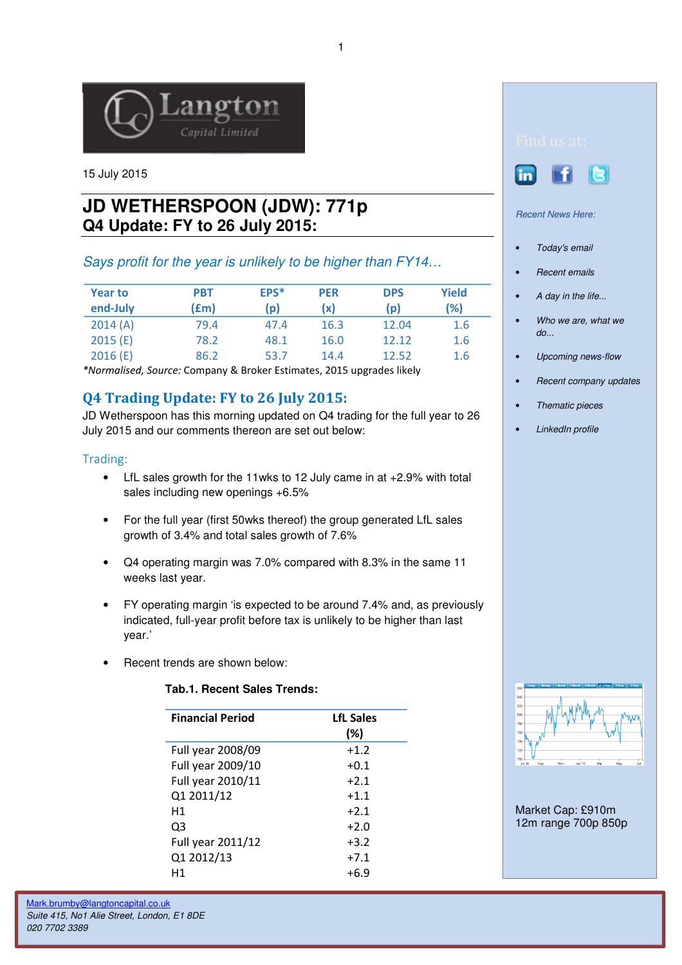

15 July 2015

# **JD WETHERSPOON (JDW): 771p Q4 Update: FY to 26 July 2015:**

## Says profit for the year is unlikely to be higher than FY14…

| <b>Year to</b><br>end-July | PBT<br>(fm) | EPS*<br>(p) | <b>PER</b><br>(x) | <b>DPS</b><br>(p) | <b>Yield</b><br>(%) |
|----------------------------|-------------|-------------|-------------------|-------------------|---------------------|
| 2014(A)                    | 79.4        | 47.4        | 16.3              | 12.04             | 1.6                 |
| 2015(E)                    | 78.2        | 48.1        | 16.0              | 12.12             | 1.6                 |
| 2016(E)                    | 86.2        | 53.7        | 14.4              | 12.52             | 1.6                 |

\*Normalised, Source: Company & Broker Estimates, 2015 upgrades likely

## Q4 Trading Update: FY to 26 July 2015:

JD Wetherspoon has this morning updated on Q4 trading for the full year to 26 July 2015 and our comments thereon are set out below:

### Trading:

- LfL sales growth for the 11wks to 12 July came in at +2.9% with total sales including new openings +6.5%
- For the full year (first 50wks thereof) the group generated LfL sales growth of 3.4% and total sales growth of 7.6%
- Q4 operating margin was 7.0% compared with 8.3% in the same 11 weeks last year.
- FY operating margin 'is expected to be around 7.4% and, as previously indicated, full-year profit before tax is unlikely to be higher than last year.'
- Recent trends are shown below:

#### **Tab.1. Recent Sales Trends:**

| <b>Financial Period</b> | <b>LfL Sales</b><br>(%) |
|-------------------------|-------------------------|
| Full year 2008/09       | $+1.2$                  |
| Full year 2009/10       | $+0.1$                  |
| Full year 2010/11       | $+2.1$                  |
| Q1 2011/12              | $+1.1$                  |
| H1                      | $+2.1$                  |
| Q3                      | $+2.0$                  |
| Full year 2011/12       | $+3.2$                  |
| Q1 2012/13              | $+7.1$                  |
| Η1                      | +6.9                    |





#### Recent News Here:

- Today's email
- **Recent emails**
- A day in the life...
- Who we are, what we  $d\rho$ ...
- Upcoming news-flow
- Recent company updates
- Thematic pieces
- LinkedIn profile



Market Cap: £910m 12m range 700p 850p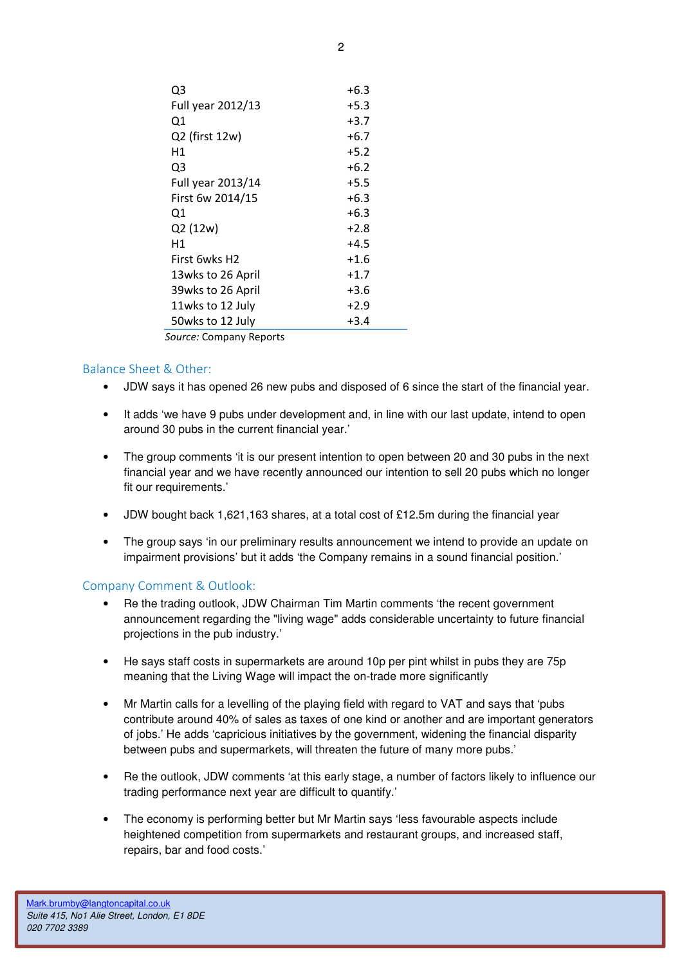| Q3                | $+6.3$ |
|-------------------|--------|
| Full year 2012/13 | $+5.3$ |
| Q1                | $+3.7$ |
| Q2 (first 12w)    | $+6.7$ |
| Η1                | $+5.2$ |
| Q3                | $+6.2$ |
| Full year 2013/14 | $+5.5$ |
| First 6w 2014/15  | $+6.3$ |
| Q1                | $+6.3$ |
| Q2 (12w)          | $+2.8$ |
| Η1                | $+4.5$ |
| First 6wks H2     | $+1.6$ |
| 13wks to 26 April | $+1.7$ |
| 39wks to 26 April | $+3.6$ |
| 11wks to 12 July  | $+2.9$ |
| 50wks to 12 July  | $+3.4$ |
|                   |        |

Source: Company Reports

### Balance Sheet & Other:

- JDW says it has opened 26 new pubs and disposed of 6 since the start of the financial year.
- It adds 'we have 9 pubs under development and, in line with our last update, intend to open around 30 pubs in the current financial year.'
- The group comments 'it is our present intention to open between 20 and 30 pubs in the next financial year and we have recently announced our intention to sell 20 pubs which no longer fit our requirements.'
- JDW bought back 1,621,163 shares, at a total cost of £12.5m during the financial year
- The group says 'in our preliminary results announcement we intend to provide an update on impairment provisions' but it adds 'the Company remains in a sound financial position.'

### Company Comment & Outlook:

- Re the trading outlook, JDW Chairman Tim Martin comments 'the recent government announcement regarding the "living wage" adds considerable uncertainty to future financial projections in the pub industry.'
- He says staff costs in supermarkets are around 10p per pint whilst in pubs they are 75p meaning that the Living Wage will impact the on-trade more significantly
- Mr Martin calls for a levelling of the playing field with regard to VAT and says that 'pubs contribute around 40% of sales as taxes of one kind or another and are important generators of jobs.' He adds 'capricious initiatives by the government, widening the financial disparity between pubs and supermarkets, will threaten the future of many more pubs.'
- Re the outlook, JDW comments 'at this early stage, a number of factors likely to influence our trading performance next year are difficult to quantify.'
- The economy is performing better but Mr Martin says 'less favourable aspects include heightened competition from supermarkets and restaurant groups, and increased staff, repairs, bar and food costs.'